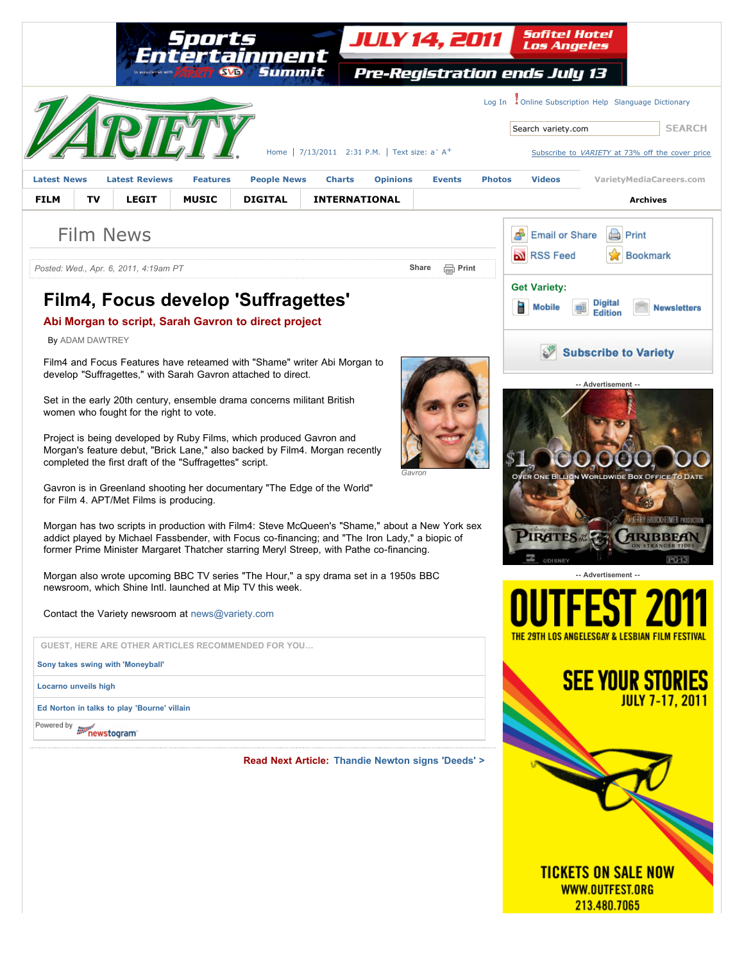